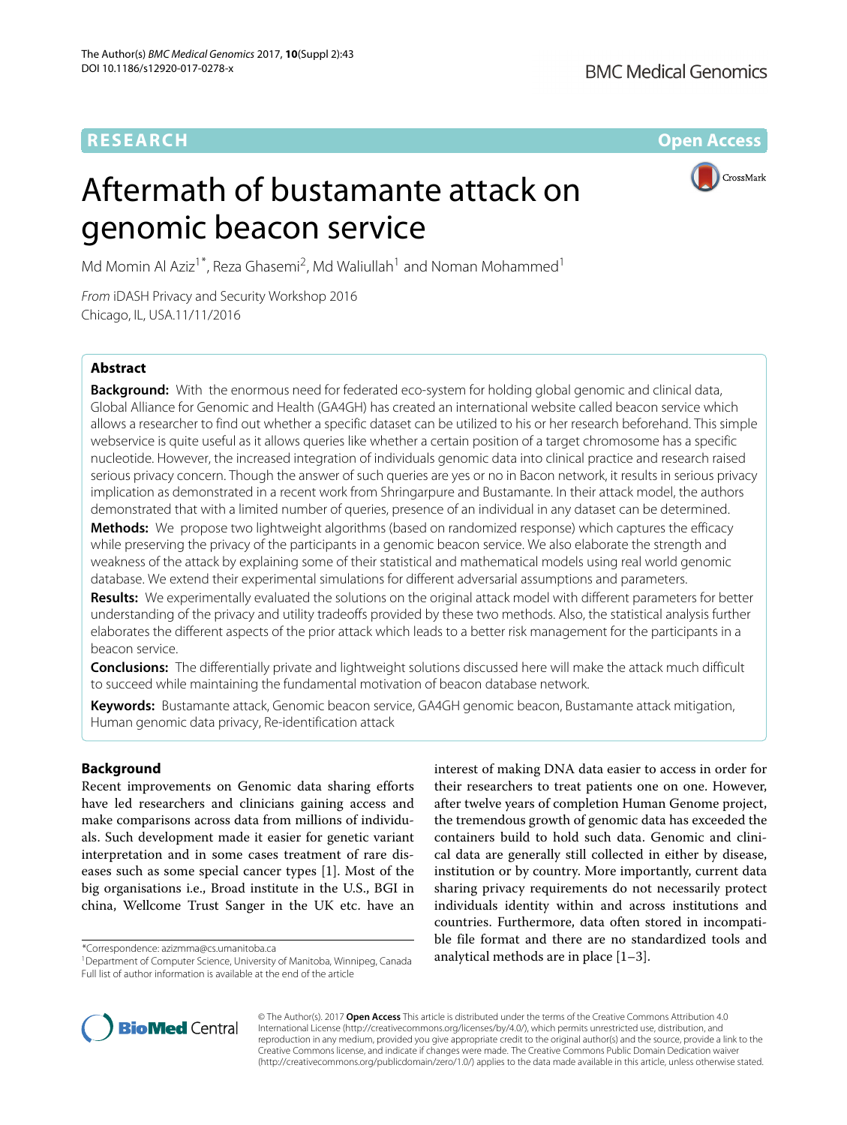**RESEARCH Open Access**

# Aftermath of bustamante attack on genomic beacon service



Md Momin Al Aziz<sup>1\*</sup>, Reza Ghasemi<sup>2</sup>, Md Waliullah<sup>1</sup> and Noman Mohammed<sup>1</sup>

From iDASH Privacy and Security Workshop 2016 Chicago, IL, USA.11/11/2016

# **Abstract**

**Background:** With the enormous need for federated eco-system for holding global genomic and clinical data, Global Alliance for Genomic and Health (GA4GH) has created an international website called beacon service which allows a researcher to find out whether a specific dataset can be utilized to his or her research beforehand. This simple webservice is quite useful as it allows queries like whether a certain position of a target chromosome has a specific nucleotide. However, the increased integration of individuals genomic data into clinical practice and research raised serious privacy concern. Though the answer of such queries are yes or no in Bacon network, it results in serious privacy implication as demonstrated in a recent work from Shringarpure and Bustamante. In their attack model, the authors demonstrated that with a limited number of queries, presence of an individual in any dataset can be determined.

**Methods:** We propose two lightweight algorithms (based on randomized response) which captures the efficacy while preserving the privacy of the participants in a genomic beacon service. We also elaborate the strength and weakness of the attack by explaining some of their statistical and mathematical models using real world genomic database. We extend their experimental simulations for different adversarial assumptions and parameters.

**Results:** We experimentally evaluated the solutions on the original attack model with different parameters for better understanding of the privacy and utility tradeoffs provided by these two methods. Also, the statistical analysis further elaborates the different aspects of the prior attack which leads to a better risk management for the participants in a beacon service.

**Conclusions:** The differentially private and lightweight solutions discussed here will make the attack much difficult to succeed while maintaining the fundamental motivation of beacon database network.

**Keywords:** Bustamante attack, Genomic beacon service, GA4GH genomic beacon, Bustamante attack mitigation, Human genomic data privacy, Re-identification attack

# **Background**

Recent improvements on Genomic data sharing efforts have led researchers and clinicians gaining access and make comparisons across data from millions of individuals. Such development made it easier for genetic variant interpretation and in some cases treatment of rare diseases such as some special cancer types [\[1\]](#page-10-0). Most of the big organisations i.e., Broad institute in the U.S., BGI in china, Wellcome Trust Sanger in the UK etc. have an

\*Correspondence: [azizmma@cs.umanitoba.ca](mailto: azizmma@cs.umanitoba.ca)

<sup>1</sup> Department of Computer Science, University of Manitoba, Winnipeg, Canada Full list of author information is available at the end of the article

interest of making DNA data easier to access in order for their researchers to treat patients one on one. However, after twelve years of completion Human Genome project, the tremendous growth of genomic data has exceeded the containers build to hold such data. Genomic and clinical data are generally still collected in either by disease, institution or by country. More importantly, current data sharing privacy requirements do not necessarily protect individuals identity within and across institutions and countries. Furthermore, data often stored in incompatible file format and there are no standardized tools and analytical methods are in place [\[1–](#page-10-0)[3\]](#page-10-1).



© The Author(s). 2017 **Open Access** This article is distributed under the terms of the Creative Commons Attribution 4.0 International License [\(http://creativecommons.org/licenses/by/4.0/\)](http://creativecommons.org/licenses/by/4.0/), which permits unrestricted use, distribution, and reproduction in any medium, provided you give appropriate credit to the original author(s) and the source, provide a link to the Creative Commons license, and indicate if changes were made. The Creative Commons Public Domain Dedication waiver [\(http://creativecommons.org/publicdomain/zero/1.0/\)](http://creativecommons.org/publicdomain/zero/1.0/) applies to the data made available in this article, unless otherwise stated.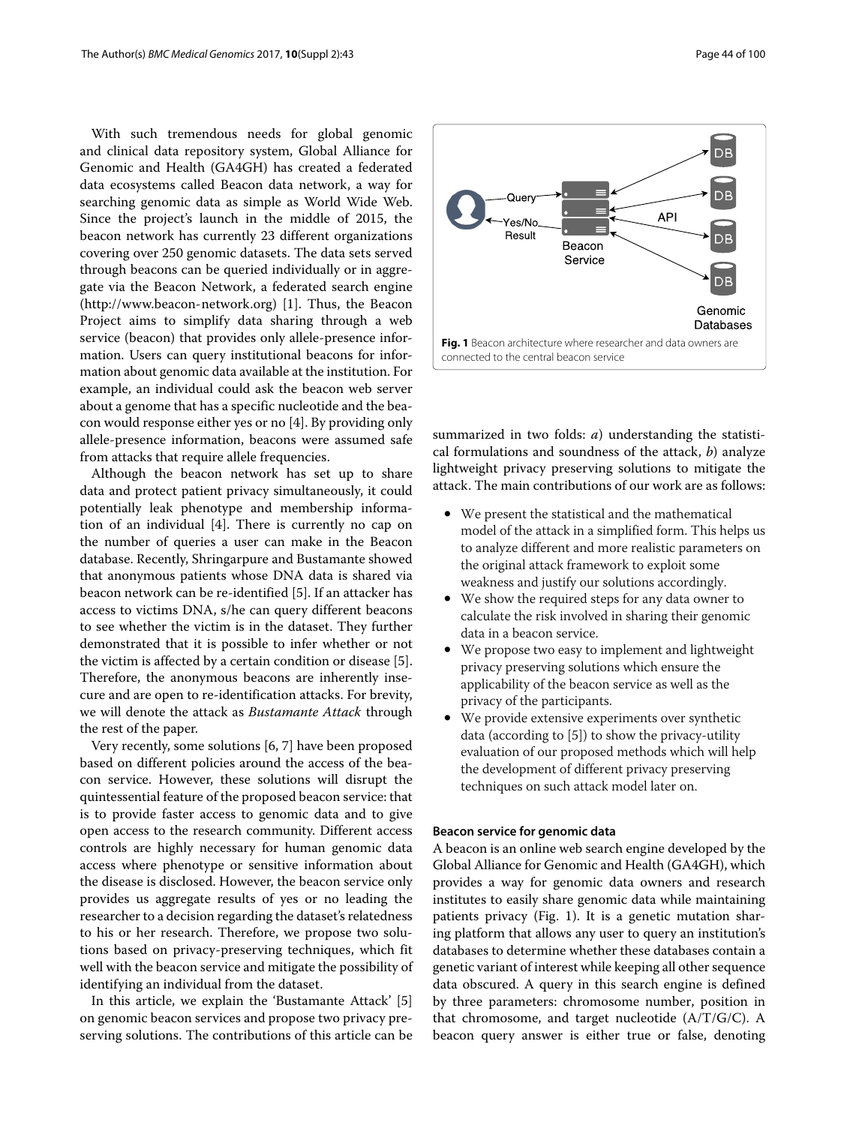With such tremendous needs for global genomic and clinical data repository system, Global Alliance for Genomic and Health (GA4GH) has created a federated data ecosystems called Beacon data network, a way for searching genomic data as simple as World Wide Web. Since the project's launch in the middle of 2015, the beacon network has currently 23 different organizations covering over 250 genomic datasets. The data sets served through beacons can be queried individually or in aggregate via the Beacon Network, a federated search engine [\(http://www.beacon-network.org\)](http://www.beacon-network.org) [\[1\]](#page-10-0). Thus, the Beacon Project aims to simplify data sharing through a web service (beacon) that provides only allele-presence information. Users can query institutional beacons for information about genomic data available at the institution. For example, an individual could ask the beacon web server about a genome that has a specific nucleotide and the beacon would response either yes or no [\[4\]](#page-10-2). By providing only allele-presence information, beacons were assumed safe from attacks that require allele frequencies.

Although the beacon network has set up to share data and protect patient privacy simultaneously, it could potentially leak phenotype and membership information of an individual [\[4\]](#page-10-2). There is currently no cap on the number of queries a user can make in the Beacon database. Recently, Shringarpure and Bustamante showed that anonymous patients whose DNA data is shared via beacon network can be re-identified [\[5\]](#page-10-3). If an attacker has access to victims DNA, s/he can query different beacons to see whether the victim is in the dataset. They further demonstrated that it is possible to infer whether or not the victim is affected by a certain condition or disease [\[5\]](#page-10-3). Therefore, the anonymous beacons are inherently insecure and are open to re-identification attacks. For brevity, we will denote the attack as *Bustamante Attack* through the rest of the paper.

Very recently, some solutions [\[6,](#page-10-4) [7\]](#page-10-5) have been proposed based on different policies around the access of the beacon service. However, these solutions will disrupt the quintessential feature of the proposed beacon service: that is to provide faster access to genomic data and to give open access to the research community. Different access controls are highly necessary for human genomic data access where phenotype or sensitive information about the disease is disclosed. However, the beacon service only provides us aggregate results of yes or no leading the researcher to a decision regarding the dataset's relatedness to his or her research. Therefore, we propose two solutions based on privacy-preserving techniques, which fit well with the beacon service and mitigate the possibility of identifying an individual from the dataset.

In this article, we explain the 'Bustamante Attack' [\[5\]](#page-10-3) on genomic beacon services and propose two privacy preserving solutions. The contributions of this article can be



<span id="page-1-0"></span>summarized in two folds: *a*) understanding the statistical formulations and soundness of the attack, *b*) analyze lightweight privacy preserving solutions to mitigate the attack. The main contributions of our work are as follows:

- We present the statistical and the mathematical model of the attack in a simplified form. This helps us to analyze different and more realistic parameters on the original attack framework to exploit some weakness and justify our solutions accordingly.
- We show the required steps for any data owner to calculate the risk involved in sharing their genomic data in a beacon service.
- We propose two easy to implement and lightweight privacy preserving solutions which ensure the applicability of the beacon service as well as the privacy of the participants.
- We provide extensive experiments over synthetic data (according to [\[5\]](#page-10-3)) to show the privacy-utility evaluation of our proposed methods which will help the development of different privacy preserving techniques on such attack model later on.

# **Beacon service for genomic data**

A beacon is an online web search engine developed by the Global Alliance for Genomic and Health (GA4GH), which provides a way for genomic data owners and research institutes to easily share genomic data while maintaining patients privacy (Fig. [1\)](#page-1-0). It is a genetic mutation sharing platform that allows any user to query an institution's databases to determine whether these databases contain a genetic variant of interest while keeping all other sequence data obscured. A query in this search engine is defined by three parameters: chromosome number, position in that chromosome, and target nucleotide (A/T/G/C). A beacon query answer is either true or false, denoting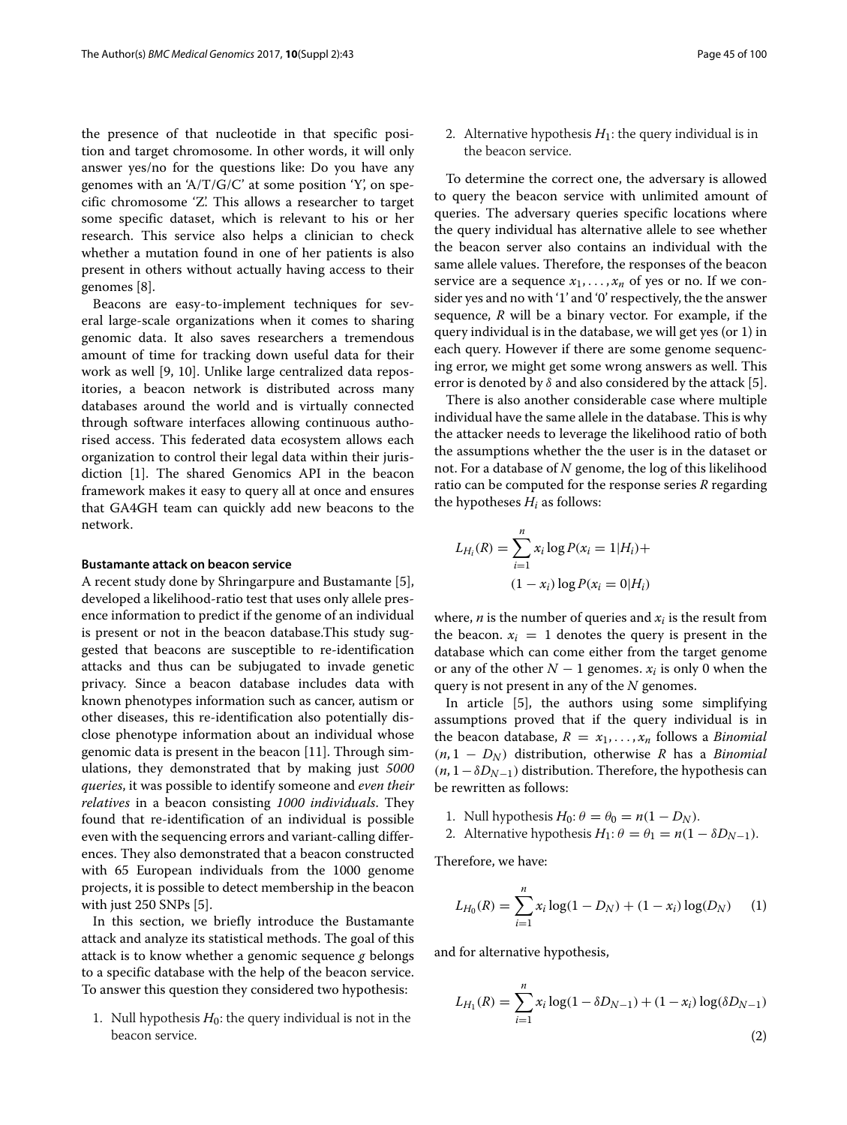the presence of that nucleotide in that specific position and target chromosome. In other words, it will only answer yes/no for the questions like: Do you have any genomes with an 'A/T/G/C' at some position 'Y', on specific chromosome 'Z'. This allows a researcher to target some specific dataset, which is relevant to his or her research. This service also helps a clinician to check whether a mutation found in one of her patients is also present in others without actually having access to their genomes [\[8\]](#page-10-6).

Beacons are easy-to-implement techniques for several large-scale organizations when it comes to sharing genomic data. It also saves researchers a tremendous amount of time for tracking down useful data for their work as well [\[9,](#page-10-7) [10\]](#page-10-8). Unlike large centralized data repositories, a beacon network is distributed across many databases around the world and is virtually connected through software interfaces allowing continuous authorised access. This federated data ecosystem allows each organization to control their legal data within their jurisdiction [\[1\]](#page-10-0). The shared Genomics API in the beacon framework makes it easy to query all at once and ensures that GA4GH team can quickly add new beacons to the network.

#### **Bustamante attack on beacon service**

A recent study done by Shringarpure and Bustamante [\[5\]](#page-10-3), developed a likelihood-ratio test that uses only allele presence information to predict if the genome of an individual is present or not in the beacon database.This study suggested that beacons are susceptible to re-identification attacks and thus can be subjugated to invade genetic privacy. Since a beacon database includes data with known phenotypes information such as cancer, autism or other diseases, this re-identification also potentially disclose phenotype information about an individual whose genomic data is present in the beacon [\[11\]](#page-10-9). Through simulations, they demonstrated that by making just *5000 queries*, it was possible to identify someone and *even their relatives* in a beacon consisting *1000 individuals*. They found that re-identification of an individual is possible even with the sequencing errors and variant-calling differences. They also demonstrated that a beacon constructed with 65 European individuals from the 1000 genome projects, it is possible to detect membership in the beacon with just 250 SNPs [\[5\]](#page-10-3).

In this section, we briefly introduce the Bustamante attack and analyze its statistical methods. The goal of this attack is to know whether a genomic sequence *g* belongs to a specific database with the help of the beacon service. To answer this question they considered two hypothesis:

1. Null hypothesis  $H_0$ : the query individual is not in the beacon service.

2. Alternative hypothesis  $H_1$ : the query individual is in the beacon service.

To determine the correct one, the adversary is allowed to query the beacon service with unlimited amount of queries. The adversary queries specific locations where the query individual has alternative allele to see whether the beacon server also contains an individual with the same allele values. Therefore, the responses of the beacon service are a sequence  $x_1, \ldots, x_n$  of yes or no. If we consider yes and no with '1' and '0' respectively, the the answer sequence, *R* will be a binary vector. For example, if the query individual is in the database, we will get yes (or 1) in each query. However if there are some genome sequencing error, we might get some wrong answers as well. This error is denoted by  $\delta$  and also considered by the attack [\[5\]](#page-10-3).

There is also another considerable case where multiple individual have the same allele in the database. This is why the attacker needs to leverage the likelihood ratio of both the assumptions whether the the user is in the dataset or not. For a database of *N* genome, the log of this likelihood ratio can be computed for the response series *R* regarding the hypotheses  $H_i$  as follows:

$$
L_{H_i}(R) = \sum_{i=1}^{n} x_i \log P(x_i = 1 | H_i) +
$$
  
(1 - x<sub>i</sub>) log P(x<sub>i</sub> = 0|H<sub>i</sub>)

where,  $n$  is the number of queries and  $x_i$  is the result from the beacon.  $x_i = 1$  denotes the query is present in the database which can come either from the target genome or any of the other  $N-1$  genomes.  $x_i$  is only 0 when the query is not present in any of the *N* genomes.

In article [\[5\]](#page-10-3), the authors using some simplifying assumptions proved that if the query individual is in the beacon database,  $R = x_1, \ldots, x_n$  follows a *Binomial*  $(n, 1 - D_N)$  distribution, otherwise *R* has a *Binomial* (*n*, 1−δ*DN*−1) distribution. Therefore, the hypothesis can be rewritten as follows:

- 1. Null hypothesis  $H_0: \theta = \theta_0 = n(1 D_N)$ .
- 2. Alternative hypothesis  $H_1: \theta = \theta_1 = n(1 \delta D_{N-1}).$

Therefore, we have:

<span id="page-2-0"></span>
$$
L_{H_0}(R) = \sum_{i=1}^{n} x_i \log(1 - D_N) + (1 - x_i) \log(D_N) \tag{1}
$$

and for alternative hypothesis,

<span id="page-2-1"></span>
$$
L_{H_1}(R) = \sum_{i=1}^{n} x_i \log(1 - \delta D_{N-1}) + (1 - x_i) \log(\delta D_{N-1})
$$
\n(2)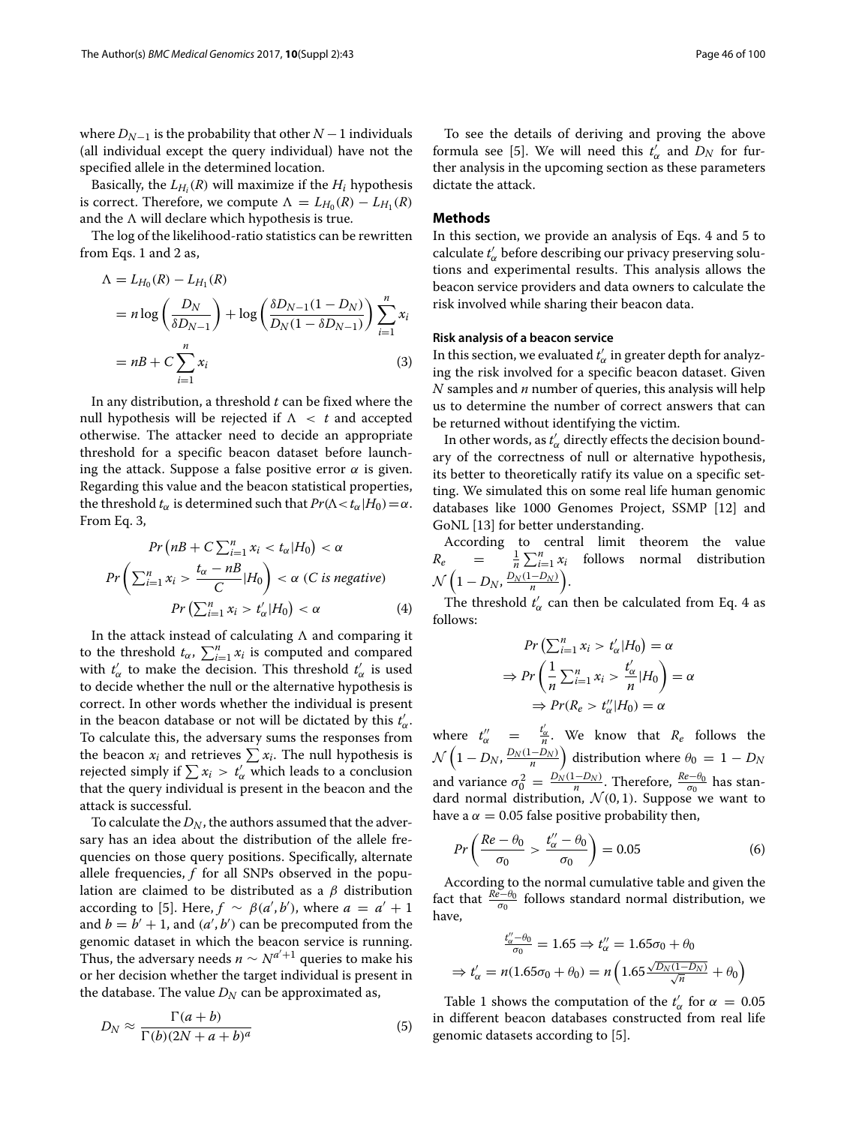where  $D_{N-1}$  is the probability that other  $N-1$  individuals (all individual except the query individual) have not the specified allele in the determined location.

Basically, the  $L_{H_i}(R)$  will maximize if the  $H_i$  hypothesis is correct. Therefore, we compute  $\Lambda = L_{H_0}(R) - L_{H_1}(R)$ and the  $\Lambda$  will declare which hypothesis is true.

The log of the likelihood-ratio statistics can be rewritten from Eqs. [1](#page-2-0) and [2](#page-2-1) as,

$$
\Lambda = L_{H_0}(R) - L_{H_1}(R)
$$
  
=  $n \log \left( \frac{D_N}{\delta D_{N-1}} \right) + \log \left( \frac{\delta D_{N-1} (1 - D_N)}{D_N (1 - \delta D_{N-1})} \right) \sum_{i=1}^n x_i$   
=  $nB + C \sum_{i=1}^n x_i$  (3)

In any distribution, a threshold *t* can be fixed where the null hypothesis will be rejected if  $\Lambda < t$  and accepted otherwise. The attacker need to decide an appropriate threshold for a specific beacon dataset before launching the attack. Suppose a false positive error  $\alpha$  is given. Regarding this value and the beacon statistical properties, the threshold  $t_{\alpha}$  is determined such that  $Pr(\Delta < t_{\alpha}|H_0) = \alpha$ . From Eq. [3,](#page-3-0)

<span id="page-3-1"></span>
$$
Pr\left(nB + C\sum_{i=1}^{n} x_i < t_\alpha | H_0\right) < \alpha
$$
\n
$$
Pr\left(\sum_{i=1}^{n} x_i > \frac{t_\alpha - n}{C} | H_0\right) < \alpha \text{ (C is negative)}
$$
\n
$$
Pr\left(\sum_{i=1}^{n} x_i > t_\alpha' | H_0\right) < \alpha \tag{4}
$$

In the attack instead of calculating  $\Lambda$  and comparing it to the threshold  $t_{\alpha}$ ,  $\sum_{i=1}^{n} x_i$  is computed and compared with  $t'_\alpha$  to make the decision. This threshold  $t'_\alpha$  is used to decide whether the null or the alternative hypothesis is correct. In other words whether the individual is present in the beacon database or not will be dictated by this  $t'_\alpha.$ To calculate this, the adversary sums the responses from the beacon  $x_i$  and retrieves  $\sum x_i$ . The null hypothesis is rejected simply if  $\sum x_i > t'_\alpha$  which leads to a conclusion that the query individual is present in the beacon and the attack is successful.

To calculate the  $D_N$ , the authors assumed that the adversary has an idea about the distribution of the allele frequencies on those query positions. Specifically, alternate allele frequencies, *f* for all SNPs observed in the population are claimed to be distributed as a  $\beta$  distribution according to [\[5\]](#page-10-3). Here,  $f \sim \beta(a', b')$ , where  $a = a' + 1$ and  $b = b' + 1$ , and  $(a', b')$  can be precomputed from the genomic dataset in which the beacon service is running. Thus, the adversary needs  $n \sim N^{a'+1}$  queries to make his or her decision whether the target individual is present in the database. The value  $D<sub>N</sub>$  can be approximated as,

$$
D_N \approx \frac{\Gamma(a+b)}{\Gamma(b)(2N+a+b)^a}
$$
 (5)

To see the details of deriving and proving the above formula see [\[5\]](#page-10-3). We will need this  $t'_\alpha$  and  $D_N$  for further analysis in the upcoming section as these parameters dictate the attack.

# **Methods**

In this section, we provide an analysis of Eqs. [4](#page-3-1) and [5](#page-3-2) to calculate  $t'_\alpha$  before describing our privacy preserving solutions and experimental results. This analysis allows the beacon service providers and data owners to calculate the risk involved while sharing their beacon data.

# **Risk analysis of a beacon service**

<span id="page-3-0"></span>In this section, we evaluated  $t'_\alpha$  in greater depth for analyzing the risk involved for a specific beacon dataset. Given *N* samples and *n* number of queries, this analysis will help us to determine the number of correct answers that can be returned without identifying the victim.

In other words, as  $t'_\alpha$  directly effects the decision boundary of the correctness of null or alternative hypothesis, its better to theoretically ratify its value on a specific setting. We simulated this on some real life human genomic databases like 1000 Genomes Project, SSMP [\[12\]](#page-10-10) and GoNL [\[13\]](#page-10-11) for better understanding.

According to central limit theorem the value  $R_e$  =  $\frac{1}{n} \sum_{i=1}^{n} x_i$  follows normal distribution  $\mathcal{N}\left(1-D_{N},\frac{D_{N}(1-D_{N})}{n}\right)$ .

The threshold  $t'_\alpha$  can then be calculated from Eq. [4](#page-3-1) as follows:

$$
Pr\left(\sum_{i=1}^{n} x_i > t'_\alpha | H_0\right) = \alpha
$$
  
\n
$$
\Rightarrow Pr\left(\frac{1}{n}\sum_{i=1}^{n} x_i > \frac{t'_\alpha}{n} | H_0\right) = \alpha
$$
  
\n
$$
\Rightarrow Pr(R_e > t''_\alpha | H_0) = \alpha
$$

where  $t''_{\alpha} = \frac{t'_{\alpha}}{n}$ . We know that  $R_e$  follows the  $\mathcal{N}\left(1-D_{N}, \frac{D_{N}(1-D_{N})}{n}\right)$  distribution where  $\theta_{0} \, = \, 1-D_{N}$ and variance  $\sigma_0^2 = \frac{D_N(1-D_N)}{n}$ . Therefore,  $\frac{Re-\theta_0}{\sigma_0}$  has standard normal distribution,  $\mathcal{N}(0, 1)$ . Suppose we want to have a  $\alpha = 0.05$  false positive probability then,

$$
Pr\left(\frac{Re - \theta_0}{\sigma_0} > \frac{t''_{\alpha} - \theta_0}{\sigma_0}\right) = 0.05\tag{6}
$$

According to the normal cumulative table and given the fact that  $\frac{Re-\theta_0}{\sigma_0}$  follows standard normal distribution, we have,

$$
\frac{t_{\alpha}^{\prime\prime} - \theta_0}{\sigma_0} = 1.65 \Rightarrow t_{\alpha}^{\prime\prime} = 1.65\sigma_0 + \theta_0
$$

$$
\Rightarrow t_{\alpha}^{\prime} = n(1.65\sigma_0 + \theta_0) = n\left(1.65\frac{\sqrt{D_N(1 - D_N)}}{\sqrt{n}} + \theta_0\right)
$$

<span id="page-3-2"></span>Table [1](#page-4-0) shows the computation of the  $t'_\alpha$  for  $\alpha = 0.05$ in different beacon databases constructed from real life genomic datasets according to [\[5\]](#page-10-3).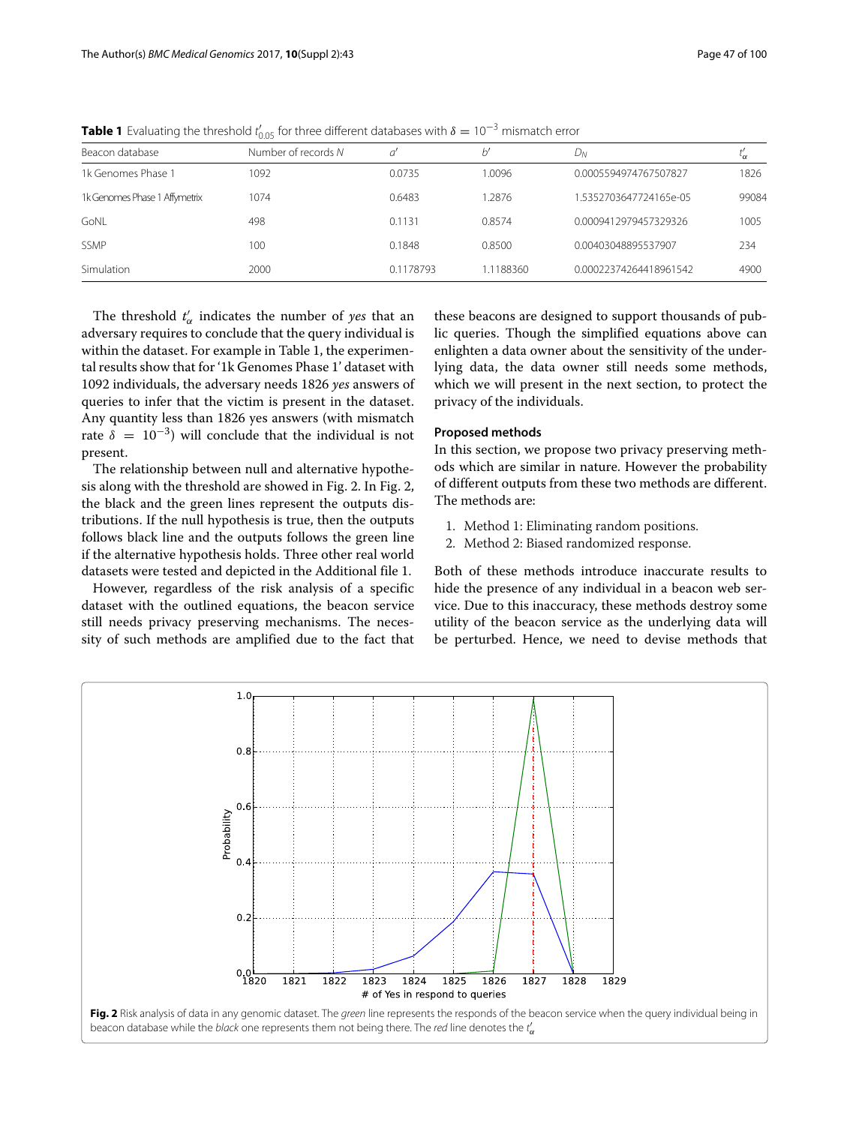<span id="page-4-0"></span>

| Beacon database               | Number of records N |           | b′        | $D_N$                  | ٠α    |
|-------------------------------|---------------------|-----------|-----------|------------------------|-------|
| 1k Genomes Phase 1            | 1092                | 0.0735    | 1.0096    | 0.0005594974767507827  | 1826  |
| 1k Genomes Phase 1 Affymetrix | 1074                | 0.6483    | 1.2876    | 1.5352703647724165e-05 | 99084 |
| GoNL                          | 498                 | 0.1131    | 0.8574    | 0.0009412979457329326  | 1005  |
| SSMP                          | 100                 | 0.1848    | 0.8500    | 0.00403048895537907    | 234   |
| <b>Simulation</b>             | 2000                | 0.1178793 | 1.1188360 | 0.00022374264418961542 | 4900  |

**Table 1** Evaluating the threshold  $t'_{0.05}$  for three different databases with  $\delta = 10^{-3}$  mismatch error

The threshold  $t'_\alpha$  indicates the number of *yes* that an adversary requires to conclude that the query individual is within the dataset. For example in Table [1,](#page-4-0) the experimental results show that for '1k Genomes Phase 1' dataset with 1092 individuals, the adversary needs 1826 *yes* answers of queries to infer that the victim is present in the dataset. Any quantity less than 1826 yes answers (with mismatch rate  $\delta = 10^{-3}$ ) will conclude that the individual is not present.

The relationship between null and alternative hypothesis along with the threshold are showed in Fig. [2.](#page-4-1) In Fig. [2,](#page-4-1) the black and the green lines represent the outputs distributions. If the null hypothesis is true, then the outputs follows black line and the outputs follows the green line if the alternative hypothesis holds. Three other real world datasets were tested and depicted in the Additional file [1.](#page-10-12)

However, regardless of the risk analysis of a specific dataset with the outlined equations, the beacon service still needs privacy preserving mechanisms. The necessity of such methods are amplified due to the fact that these beacons are designed to support thousands of public queries. Though the simplified equations above can enlighten a data owner about the sensitivity of the underlying data, the data owner still needs some methods, which we will present in the next section, to protect the privacy of the individuals.

# **Proposed methods**

In this section, we propose two privacy preserving methods which are similar in nature. However the probability of different outputs from these two methods are different. The methods are:

- 1. Method 1: Eliminating random positions.
- 2. Method 2: Biased randomized response.

Both of these methods introduce inaccurate results to hide the presence of any individual in a beacon web service. Due to this inaccuracy, these methods destroy some utility of the beacon service as the underlying data will be perturbed. Hence, we need to devise methods that

<span id="page-4-1"></span>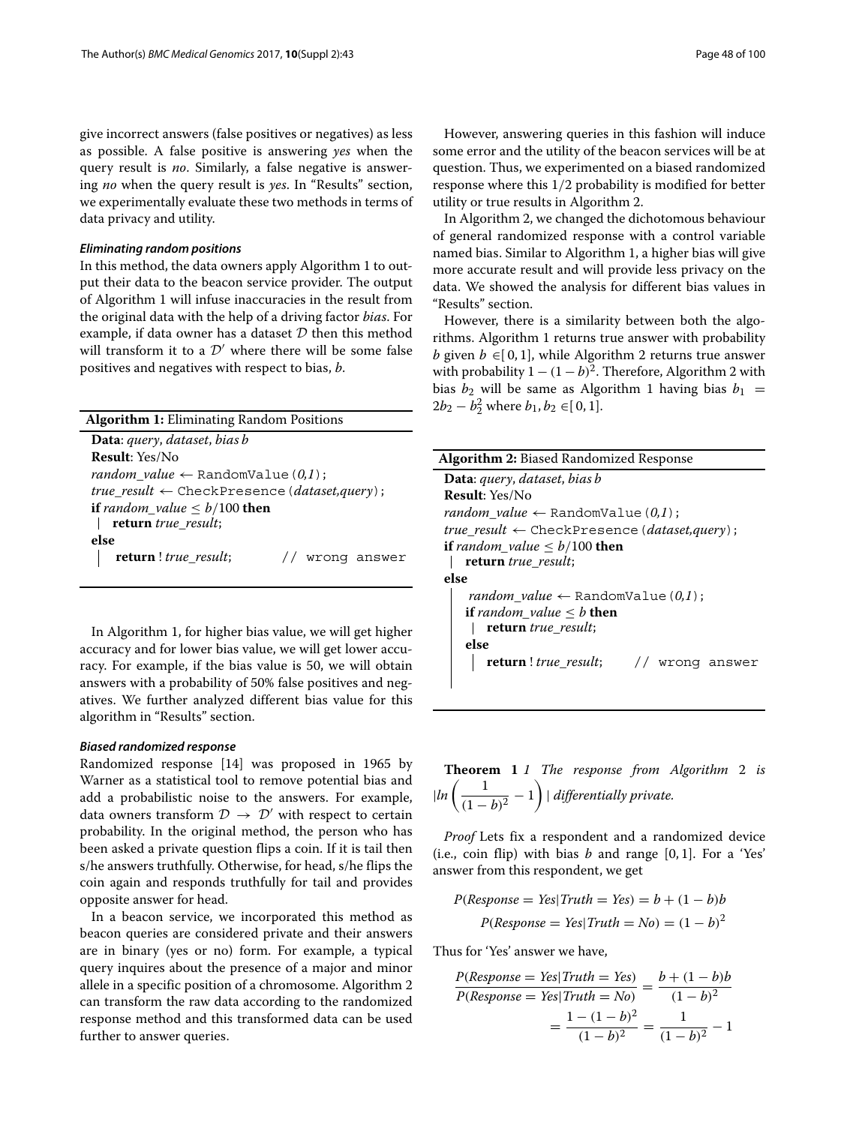give incorrect answers (false positives or negatives) as less as possible. A false positive is answering *yes* when the query result is *no*. Similarly, a false negative is answering *no* when the query result is *yes*. In ["Results"](#page-6-0) section, we experimentally evaluate these two methods in terms of data privacy and utility.

# *Eliminating random positions*

In this method, the data owners apply Algorithm 1 to output their data to the beacon service provider. The output of Algorithm 1 will infuse inaccuracies in the result from the original data with the help of a driving factor *bias*. For example, if data owner has a dataset  $D$  then this method will transform it to a  $\mathcal{D}'$  where there will be some false positives and negatives with respect to bias, *b*.

| <b>Algorithm 1: Eliminating Random Positions</b>                |                 |  |  |  |
|-----------------------------------------------------------------|-----------------|--|--|--|
| Data: query, dataset, bias b                                    |                 |  |  |  |
| <b>Result:</b> Yes/No                                           |                 |  |  |  |
| $random_value \leftarrow RandomValue(0,1);$                     |                 |  |  |  |
| $true\_result \leftarrow \text{CheckPresence}(dataset, query);$ |                 |  |  |  |
| <b>if</b> random_value $\leq b/100$ then                        |                 |  |  |  |
| return true result;                                             |                 |  |  |  |
| else                                                            |                 |  |  |  |
| return ! true_result;                                           | // wrong answer |  |  |  |
|                                                                 |                 |  |  |  |

In Algorithm 1, for higher bias value, we will get higher accuracy and for lower bias value, we will get lower accuracy. For example, if the bias value is 50, we will obtain answers with a probability of 50% false positives and negatives. We further analyzed different bias value for this algorithm in ["Results"](#page-6-0) section.

#### *Biased randomized response*

Randomized response [\[14\]](#page-10-13) was proposed in 1965 by Warner as a statistical tool to remove potential bias and add a probabilistic noise to the answers. For example, data owners transform  $\mathcal{D} \rightarrow \mathcal{D}'$  with respect to certain probability. In the original method, the person who has been asked a private question flips a coin. If it is tail then s/he answers truthfully. Otherwise, for head, s/he flips the coin again and responds truthfully for tail and provides opposite answer for head.

In a beacon service, we incorporated this method as beacon queries are considered private and their answers are in binary (yes or no) form. For example, a typical query inquires about the presence of a major and minor allele in a specific position of a chromosome. Algorithm 2 can transform the raw data according to the randomized response method and this transformed data can be used further to answer queries.

However, answering queries in this fashion will induce some error and the utility of the beacon services will be at question. Thus, we experimented on a biased randomized response where this 1/2 probability is modified for better utility or true results in Algorithm 2.

In Algorithm 2, we changed the dichotomous behaviour of general randomized response with a control variable named bias. Similar to Algorithm 1, a higher bias will give more accurate result and will provide less privacy on the data. We showed the analysis for different bias values in ["Results"](#page-6-0) section.

However, there is a similarity between both the algorithms. Algorithm 1 returns true answer with probability *b* given  $b \in [0, 1]$ , while Algorithm 2 returns true answer with probability  $1 - (1 - b)^2$ . Therefore, Algorithm 2 with bias  $b_2$  will be same as Algorithm 1 having bias  $b_1$  =  $2b_2 - b_2^2$  where  $b_1, b_2 \in [0, 1].$ 

| <b>Algorithm 2:</b> Biased Randomized Response                  |  |  |  |  |
|-----------------------------------------------------------------|--|--|--|--|
| Data: query, dataset, bias b                                    |  |  |  |  |
| <b>Result:</b> Yes/No                                           |  |  |  |  |
| <i>random value</i> $\leftarrow$ RandomValue (0,1);             |  |  |  |  |
| $true\_result \leftarrow \text{CheckPresence}(dataset, query);$ |  |  |  |  |
| <b>if</b> random_value $\leq b/100$ then                        |  |  |  |  |
| return true result;                                             |  |  |  |  |
| else                                                            |  |  |  |  |
| <i>random value</i> $\leftarrow$ RandomValue (0,1);             |  |  |  |  |
| if random_value $\leq b$ then                                   |  |  |  |  |
| return true result;                                             |  |  |  |  |
| else                                                            |  |  |  |  |
| <b>return</b> ! true result; // wrong answer                    |  |  |  |  |
|                                                                 |  |  |  |  |

**Theorem 1** *1 The response from Algorithm* 2 *is*  $\lfloor ln \left( \frac{1}{(1 - b)^2} - 1 \right) \rfloor$  differentially private.

*Proof* Lets fix a respondent and a randomized device (i.e., coin flip) with bias  $b$  and range  $[0, 1]$ . For a 'Yes' answer from this respondent, we get

$$
P(Response = Yes | Truth = Yes) = b + (1 - b)b
$$

$$
P(Response = Yes | Truth = No) = (1 - b)2
$$

Thus for 'Yes' answer we have,

$$
\frac{P(Response = Yes | Truth = Yes)}{P(Response = Yes | Truth = No)} = \frac{b + (1 - b)b}{(1 - b)^2}
$$

$$
= \frac{1 - (1 - b)^2}{(1 - b)^2} = \frac{1}{(1 - b)^2} - 1
$$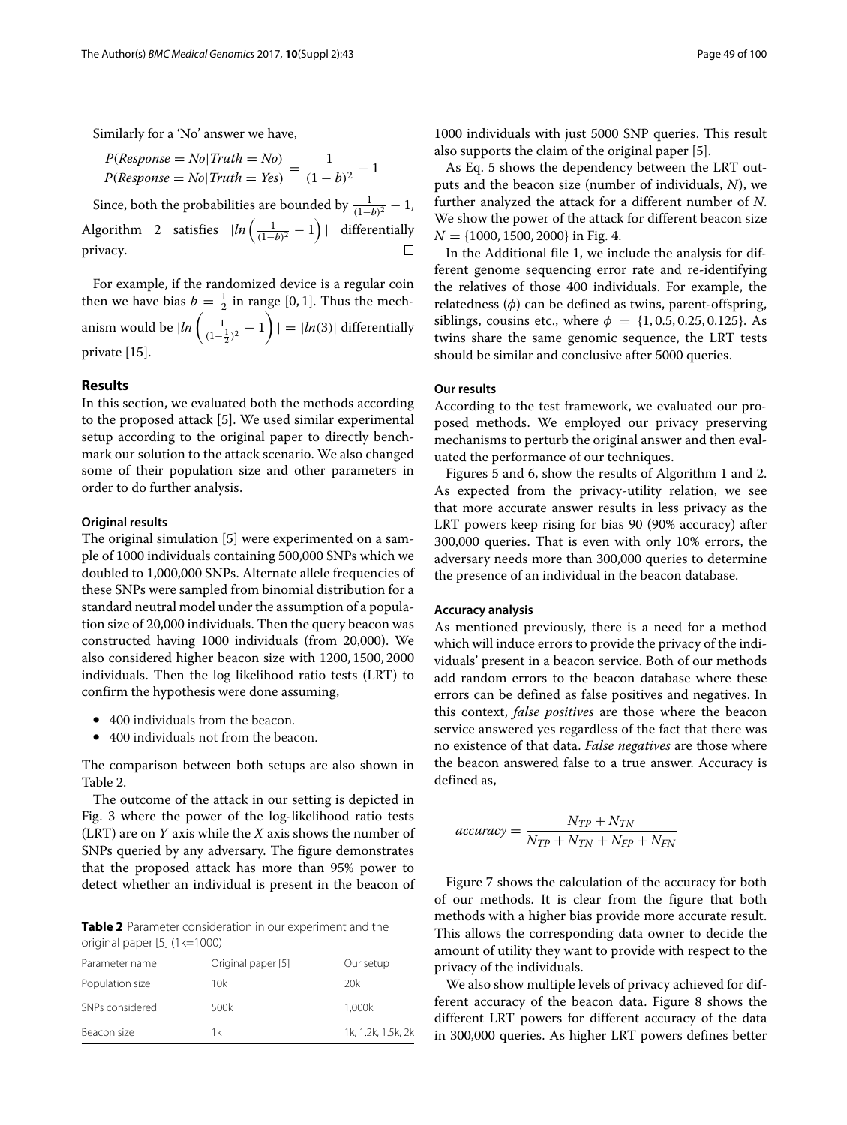Similarly for a 'No' answer we have,

$$
\frac{P(Response = No|Truth = No)}{P(Response = No|Truth = Yes)} = \frac{1}{(1-b)^2} - 1
$$

Since, both the probabilities are bounded by  $\frac{1}{(1-b)^2} - 1$ , Algorithm 2 satisfies  $|ln\left(\frac{1}{(1-b)^2} - 1\right)|$  differentially privacy.

For example, if the randomized device is a regular coin then we have bias  $b = \frac{1}{2}$  in range [0, 1]. Thus the mechanism would be  $|ln\left(\frac{1}{(1-\frac{1}{2})^2}-1\right)| = |ln(3)|$  differentially private [\[15\]](#page-10-14).

# <span id="page-6-0"></span>**Results**

In this section, we evaluated both the methods according to the proposed attack [\[5\]](#page-10-3). We used similar experimental setup according to the original paper to directly benchmark our solution to the attack scenario. We also changed some of their population size and other parameters in order to do further analysis.

# **Original results**

The original simulation [\[5\]](#page-10-3) were experimented on a sample of 1000 individuals containing 500,000 SNPs which we doubled to 1,000,000 SNPs. Alternate allele frequencies of these SNPs were sampled from binomial distribution for a standard neutral model under the assumption of a population size of 20,000 individuals. Then the query beacon was constructed having 1000 individuals (from 20,000). We also considered higher beacon size with 1200, 1500, 2000 individuals. Then the log likelihood ratio tests (LRT) to confirm the hypothesis were done assuming,

- 400 individuals from the beacon.
- 400 individuals not from the beacon.

The comparison between both setups are also shown in Table [2.](#page-6-1)

The outcome of the attack in our setting is depicted in Fig. [3](#page-7-0) where the power of the log-likelihood ratio tests (LRT) are on *Y* axis while the *X* axis shows the number of SNPs queried by any adversary. The figure demonstrates that the proposed attack has more than 95% power to detect whether an individual is present in the beacon of

<span id="page-6-1"></span>**Table 2** Parameter consideration in our experiment and the original paper [\[5\]](#page-10-3) (1k=1000)

| Parameter name  | Original paper [5] | Our setup          |
|-----------------|--------------------|--------------------|
| Population size | 10k                | 20k                |
| SNPs considered | 500k               | 1,000k             |
| Beacon size     | 1k                 | 1k, 1.2k, 1.5k, 2k |

1000 individuals with just 5000 SNP queries. This result also supports the claim of the original paper [\[5\]](#page-10-3).

As Eq. [5](#page-3-2) shows the dependency between the LRT outputs and the beacon size (number of individuals, *N*), we further analyzed the attack for a different number of *N*. We show the power of the attack for different beacon size  $N = \{1000, 1500, 2000\}$  in Fig. [4.](#page-7-1)

In the Additional file [1,](#page-10-12) we include the analysis for different genome sequencing error rate and re-identifying the relatives of those 400 individuals. For example, the relatedness  $(\phi)$  can be defined as twins, parent-offspring, siblings, cousins etc., where  $\phi = \{1, 0.5, 0.25, 0.125\}$ . As twins share the same genomic sequence, the LRT tests should be similar and conclusive after 5000 queries.

# **Our results**

According to the test framework, we evaluated our proposed methods. We employed our privacy preserving mechanisms to perturb the original answer and then evaluated the performance of our techniques.

Figures [5](#page-8-0) and [6,](#page-8-1) show the results of Algorithm 1 and 2. As expected from the privacy-utility relation, we see that more accurate answer results in less privacy as the LRT powers keep rising for bias 90 (90% accuracy) after 300,000 queries. That is even with only 10% errors, the adversary needs more than 300,000 queries to determine the presence of an individual in the beacon database.

# **Accuracy analysis**

As mentioned previously, there is a need for a method which will induce errors to provide the privacy of the individuals' present in a beacon service. Both of our methods add random errors to the beacon database where these errors can be defined as false positives and negatives. In this context, *false positives* are those where the beacon service answered yes regardless of the fact that there was no existence of that data. *False negatives* are those where the beacon answered false to a true answer. Accuracy is defined as,

$$
accuracy = \frac{N_{TP} + N_{TN}}{N_{TP} + N_{TN} + N_{FP} + N_{FN}}
$$

Figure [7](#page-9-0) shows the calculation of the accuracy for both of our methods. It is clear from the figure that both methods with a higher bias provide more accurate result. This allows the corresponding data owner to decide the amount of utility they want to provide with respect to the privacy of the individuals.

We also show multiple levels of privacy achieved for different accuracy of the beacon data. Figure [8](#page-9-1) shows the different LRT powers for different accuracy of the data in 300,000 queries. As higher LRT powers defines better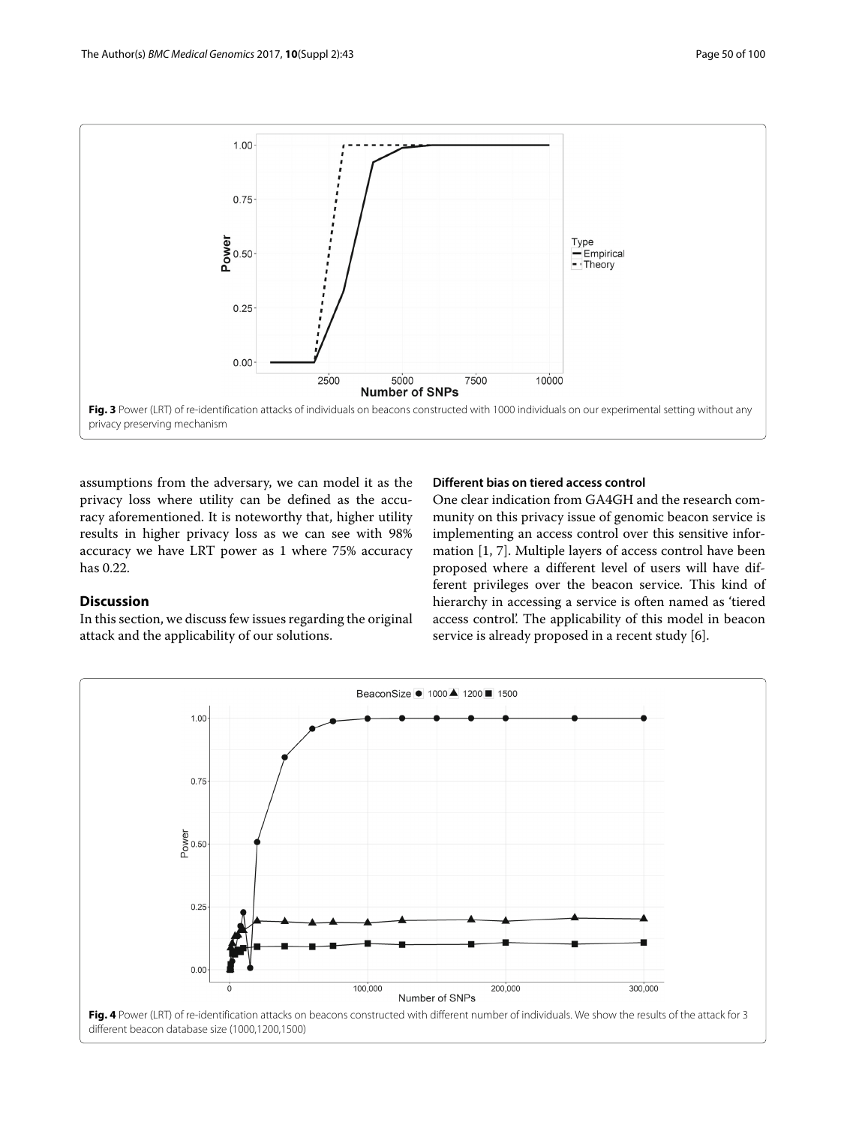

<span id="page-7-0"></span>assumptions from the adversary, we can model it as the privacy loss where utility can be defined as the accuracy aforementioned. It is noteworthy that, higher utility results in higher privacy loss as we can see with 98% accuracy we have LRT power as 1 where 75% accuracy has 0.22.

# **Different bias on tiered access control**

One clear indication from GA4GH and the research community on this privacy issue of genomic beacon service is implementing an access control over this sensitive information [\[1,](#page-10-0) [7\]](#page-10-5). Multiple layers of access control have been proposed where a different level of users will have different privileges over the beacon service. This kind of hierarchy in accessing a service is often named as 'tiered access control'. The applicability of this model in beacon service is already proposed in a recent study [\[6\]](#page-10-4).



In this section, we discuss few issues regarding the original attack and the applicability of our solutions.

<span id="page-7-1"></span>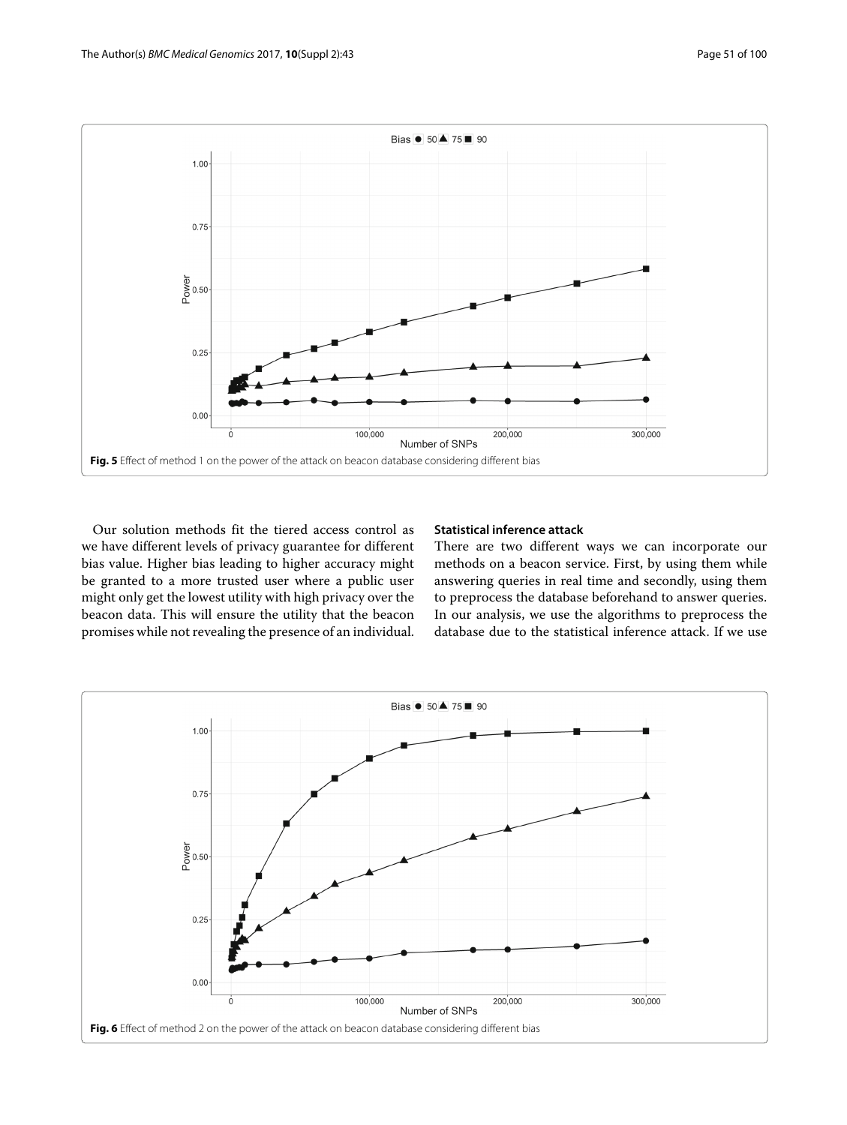

<span id="page-8-0"></span>Our solution methods fit the tiered access control as we have different levels of privacy guarantee for different bias value. Higher bias leading to higher accuracy might be granted to a more trusted user where a public user might only get the lowest utility with high privacy over the beacon data. This will ensure the utility that the beacon promises while not revealing the presence of an individual.

# **Statistical inference attack**

There are two different ways we can incorporate our methods on a beacon service. First, by using them while answering queries in real time and secondly, using them to preprocess the database beforehand to answer queries. In our analysis, we use the algorithms to preprocess the database due to the statistical inference attack. If we use

<span id="page-8-1"></span>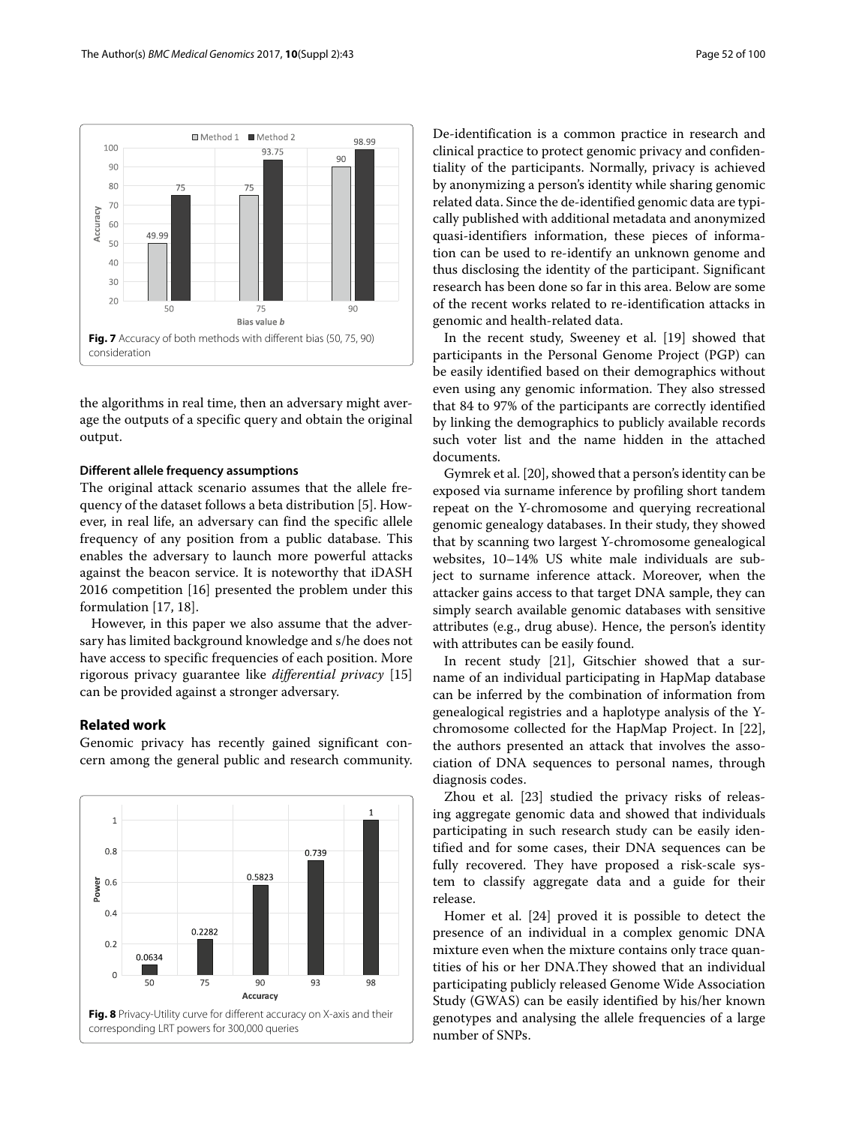

<span id="page-9-0"></span>the algorithms in real time, then an adversary might average the outputs of a specific query and obtain the original output.

#### **Different allele frequency assumptions**

The original attack scenario assumes that the allele frequency of the dataset follows a beta distribution [\[5\]](#page-10-3). However, in real life, an adversary can find the specific allele frequency of any position from a public database. This enables the adversary to launch more powerful attacks against the beacon service. It is noteworthy that iDASH 2016 competition [\[16\]](#page-10-15) presented the problem under this formulation [\[17,](#page-10-16) [18\]](#page-10-17).

However, in this paper we also assume that the adversary has limited background knowledge and s/he does not have access to specific frequencies of each position. More rigorous privacy guarantee like *differential privacy* [\[15\]](#page-10-14) can be provided against a stronger adversary.

# **Related work**

Genomic privacy has recently gained significant concern among the general public and research community.

<span id="page-9-1"></span>

De-identification is a common practice in research and clinical practice to protect genomic privacy and confidentiality of the participants. Normally, privacy is achieved by anonymizing a person's identity while sharing genomic related data. Since the de-identified genomic data are typically published with additional metadata and anonymized quasi-identifiers information, these pieces of information can be used to re-identify an unknown genome and thus disclosing the identity of the participant. Significant research has been done so far in this area. Below are some of the recent works related to re-identification attacks in genomic and health-related data.

In the recent study, Sweeney et al. [\[19\]](#page-11-0) showed that participants in the Personal Genome Project (PGP) can be easily identified based on their demographics without even using any genomic information. They also stressed that 84 to 97% of the participants are correctly identified by linking the demographics to publicly available records such voter list and the name hidden in the attached documents.

Gymrek et al. [\[20\]](#page-11-1), showed that a person's identity can be exposed via surname inference by profiling short tandem repeat on the Y-chromosome and querying recreational genomic genealogy databases. In their study, they showed that by scanning two largest Y-chromosome genealogical websites, 10–14% US white male individuals are subject to surname inference attack. Moreover, when the attacker gains access to that target DNA sample, they can simply search available genomic databases with sensitive attributes (e.g., drug abuse). Hence, the person's identity with attributes can be easily found.

In recent study [\[21\]](#page-11-2), Gitschier showed that a surname of an individual participating in HapMap database can be inferred by the combination of information from genealogical registries and a haplotype analysis of the Ychromosome collected for the HapMap Project. In [\[22\]](#page-11-3), the authors presented an attack that involves the association of DNA sequences to personal names, through diagnosis codes.

Zhou et al. [\[23\]](#page-11-4) studied the privacy risks of releasing aggregate genomic data and showed that individuals participating in such research study can be easily identified and for some cases, their DNA sequences can be fully recovered. They have proposed a risk-scale system to classify aggregate data and a guide for their release.

Homer et al. [\[24\]](#page-11-5) proved it is possible to detect the presence of an individual in a complex genomic DNA mixture even when the mixture contains only trace quantities of his or her DNA.They showed that an individual participating publicly released Genome Wide Association Study (GWAS) can be easily identified by his/her known genotypes and analysing the allele frequencies of a large number of SNPs.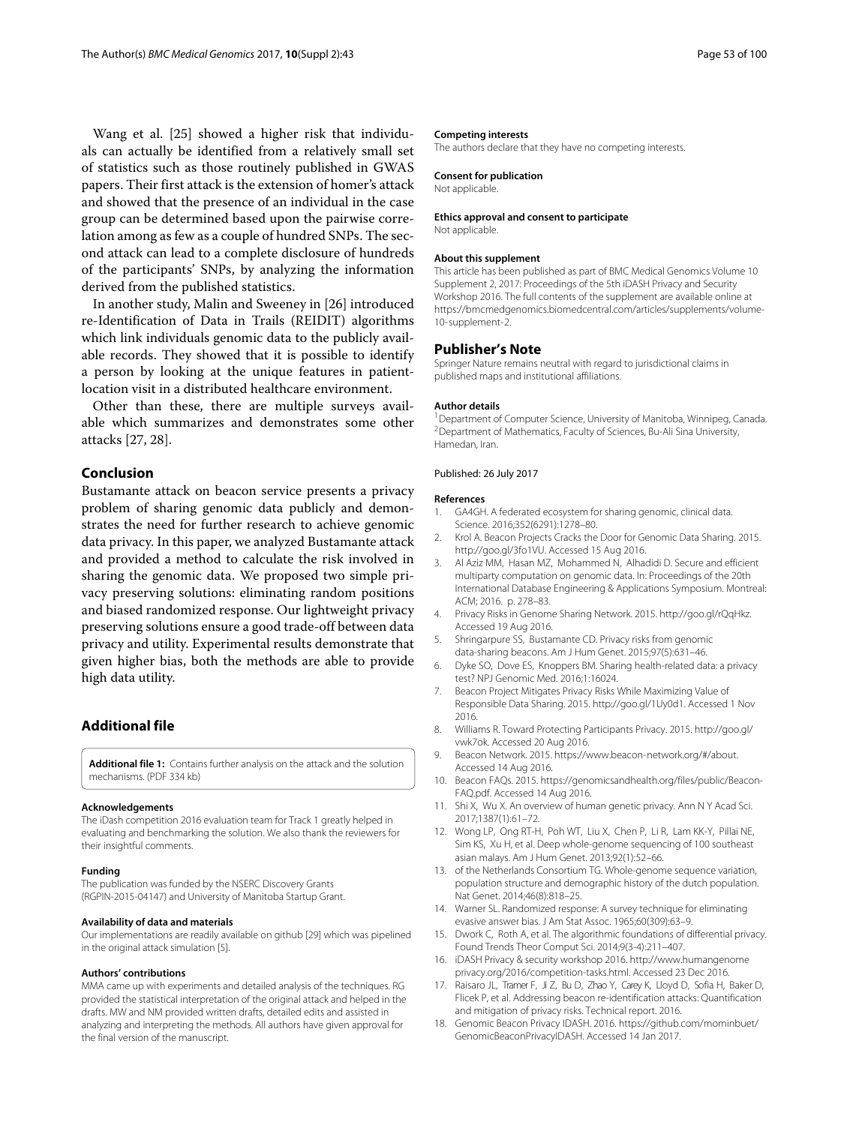Wang et al. [\[25\]](#page-11-6) showed a higher risk that individuals can actually be identified from a relatively small set of statistics such as those routinely published in GWAS papers. Their first attack is the extension of homer's attack and showed that the presence of an individual in the case group can be determined based upon the pairwise correlation among as few as a couple of hundred SNPs. The second attack can lead to a complete disclosure of hundreds of the participants' SNPs, by analyzing the information derived from the published statistics.

In another study, Malin and Sweeney in [\[26\]](#page-11-7) introduced re-Identification of Data in Trails (REIDIT) algorithms which link individuals genomic data to the publicly available records. They showed that it is possible to identify a person by looking at the unique features in patientlocation visit in a distributed healthcare environment.

Other than these, there are multiple surveys available which summarizes and demonstrates some other attacks [\[27,](#page-11-8) [28\]](#page-11-9).

# **Conclusion**

Bustamante attack on beacon service presents a privacy problem of sharing genomic data publicly and demonstrates the need for further research to achieve genomic data privacy. In this paper, we analyzed Bustamante attack and provided a method to calculate the risk involved in sharing the genomic data. We proposed two simple privacy preserving solutions: eliminating random positions and biased randomized response. Our lightweight privacy preserving solutions ensure a good trade-off between data privacy and utility. Experimental results demonstrate that given higher bias, both the methods are able to provide high data utility.

# **Additional file**

<span id="page-10-12"></span>**[Additional file 1:](http://dx.doi.org/10.1186/s12920-017-0278-x)** Contains further analysis on the attack and the solution mechanisms. (PDF 334 kb)

#### **Acknowledgements**

The iDash competition 2016 evaluation team for Track 1 greatly helped in evaluating and benchmarking the solution. We also thank the reviewers for their insightful comments.

#### **Funding**

The publication was funded by the NSERC Discovery Grants (RGPIN-2015-04147) and University of Manitoba Startup Grant.

#### **Availability of data and materials**

Our implementations are readily available on github [\[29\]](#page-11-10) which was pipelined in the original attack simulation [\[5\]](#page-10-3).

#### **Authors' contributions**

MMA came up with experiments and detailed analysis of the techniques. RG provided the statistical interpretation of the original attack and helped in the drafts. MW and NM provided written drafts, detailed edits and assisted in analyzing and interpreting the methods. All authors have given approval for the final version of the manuscript.

#### **Competing interests**

The authors declare that they have no competing interests.

#### **Consent for publication**

Not applicable.

# **Ethics approval and consent to participate**

Not applicable.

#### **About this supplement**

This article has been published as part of BMC Medical Genomics Volume 10 Supplement 2, 2017: Proceedings of the 5th iDASH Privacy and Security Workshop 2016. The full contents of the supplement are available online at [https://bmcmedgenomics.biomedcentral.com/articles/supplements/volume-](https://bmcmedgenomics.biomedcentral.com/articles/supplements/volume-10-supplement-2)[10-supplement-2.](https://bmcmedgenomics.biomedcentral.com/articles/supplements/volume-10-supplement-2)

# **Publisher's Note**

Springer Nature remains neutral with regard to jurisdictional claims in published maps and institutional affiliations.

#### **Author details**

<sup>1</sup> Department of Computer Science, University of Manitoba, Winnipeg, Canada. 2Department of Mathematics, Faculty of Sciences, Bu-Ali Sina University, Hamedan, Iran.

#### Published: 26 July 2017

#### **References**

- <span id="page-10-0"></span>1. GA4GH. A federated ecosystem for sharing genomic, clinical data. Science. 2016;352(6291):1278–80.
- 2. Krol A. Beacon Projects Cracks the Door for Genomic Data Sharing. 2015. [http://goo.gl/3fo1VU.](http://goo.gl/3fo1VU) Accessed 15 Aug 2016.
- <span id="page-10-1"></span>Al Aziz MM, Hasan MZ, Mohammed N, Alhadidi D. Secure and efficient multiparty computation on genomic data. In: Proceedings of the 20th International Database Engineering & Applications Symposium. Montreal: ACM; 2016. p. 278–83.
- <span id="page-10-2"></span>4. Privacy Risks in Genome Sharing Network. 2015. [http://goo.gl/rQqHkz.](http://goo.gl/rQqHkz) Accessed 19 Aug 2016.
- <span id="page-10-3"></span>5. Shringarpure SS, Bustamante CD. Privacy risks from genomic data-sharing beacons. Am J Hum Genet. 2015;97(5):631–46.
- <span id="page-10-4"></span>6. Dyke SO, Dove ES, Knoppers BM. Sharing health-related data: a privacy test? NPJ Genomic Med. 2016;1:16024.
- <span id="page-10-5"></span>7. Beacon Project Mitigates Privacy Risks While Maximizing Value of Responsible Data Sharing. 2015. [http://goo.gl/1Uy0d1.](http://goo.gl/1Uy0d1) Accessed 1 Nov 2016.
- <span id="page-10-6"></span>8. Williams R. Toward Protecting Participants Privacy. 2015. [http://goo.gl/](http://goo.gl/vwk7ok) [vwk7ok.](http://goo.gl/vwk7ok) Accessed 20 Aug 2016.
- <span id="page-10-7"></span>9. Beacon Network. 2015. [https://www.beacon-network.org/#/about.](https://www.beacon-network.org/#/about) Accessed 14 Aug 2016.
- <span id="page-10-8"></span>10. Beacon FAQs. 2015. [https://genomicsandhealth.org/files/public/Beacon-](https://genomicsandhealth.org/files/public/Beacon-FAQ.pdf)[FAQ.pdf.](https://genomicsandhealth.org/files/public/Beacon-FAQ.pdf) Accessed 14 Aug 2016.
- <span id="page-10-9"></span>11. Shi X, Wu X. An overview of human genetic privacy. Ann N Y Acad Sci. 2017;1387(1):61–72.
- <span id="page-10-10"></span>12. Wong LP, Ong RT-H, Poh WT, Liu X, Chen P, Li R, Lam KK-Y, Pillai NE, Sim KS, Xu H, et al. Deep whole-genome sequencing of 100 southeast asian malays. Am J Hum Genet. 2013;92(1):52–66.
- <span id="page-10-11"></span>13. of the Netherlands Consortium TG. Whole-genome sequence variation, population structure and demographic history of the dutch population. Nat Genet. 2014;46(8):818–25.
- <span id="page-10-13"></span>14. Warner SL. Randomized response: A survey technique for eliminating evasive answer bias. J Am Stat Assoc. 1965;60(309):63–9.
- <span id="page-10-14"></span>15. Dwork C, Roth A, et al. The algorithmic foundations of differential privacy. Found Trends Theor Comput Sci. 2014;9(3-4):211–407.
- <span id="page-10-15"></span>16. iDASH Privacy & security workshop 2016. [http://www.humangenome](http://www.humangenomeprivacy.org/2016/competition-tasks.html) [privacy.org/2016/competition-tasks.html.](http://www.humangenomeprivacy.org/2016/competition-tasks.html) Accessed 23 Dec 2016.
- <span id="page-10-16"></span>17. Raisaro JL, Tramer F, Ji Z, Bu D, Zhao Y, Carey K, Lloyd D, Sofia H, Baker D, Flicek P, et al. Addressing beacon re-identification attacks: Quantification and mitigation of privacy risks. Technical report. 2016.
- <span id="page-10-17"></span>18. Genomic Beacon Privacy IDASH. 2016. [https://github.com/mominbuet/](https://github.com/mominbuet/GenomicBeaconPrivacyIDASH) [GenomicBeaconPrivacyIDASH.](https://github.com/mominbuet/GenomicBeaconPrivacyIDASH) Accessed 14 Jan 2017.